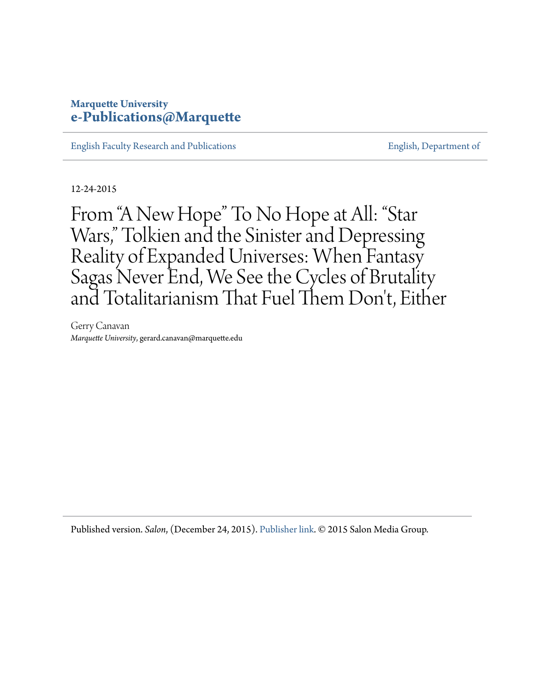# **Marquette University [e-Publications@Marquette](https://epublications.marquette.edu/)**

[English Faculty Research and Publications](https://epublications.marquette.edu/english_fac) **[English, Department of](https://epublications.marquette.edu/english)** English, Department of

12-24-2015

From "A New Hope" To No Hope at All: "Star Wars," Tolkien and the Sinister and Depressing Reality of Expanded Universes: When Fantasy Sagas Never End, We See the Cycles of Brutality and Totalitarianism That Fuel Them Don 't, Either

Gerry Canavan *Marquette University*, gerard.canavan@marquette.edu

Published version. *Salon*, (December 24, 2015). [Publisher link](https://www.salon.com/2015/12/24/from_a_new_hope_to_no_hope_at_all_star_wars_tolkien_and_the_sinister_and_depressing_reality_of_expanded_universes/). © 2015 Salon Media Group.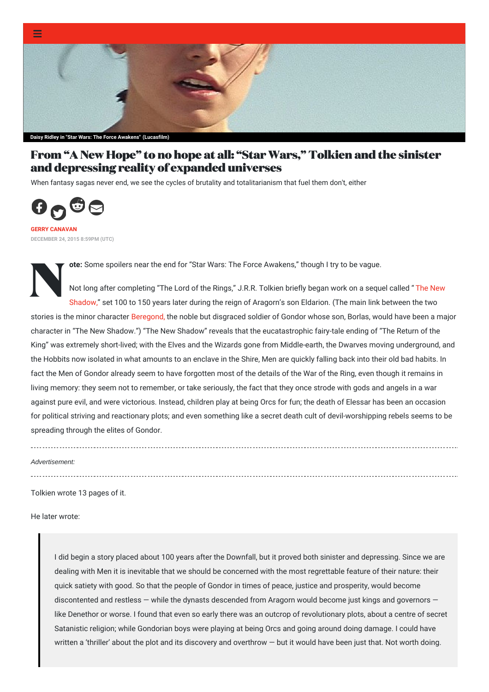

# **From "A New Hope" to no hope at all: "Star Wars," [Tolkien](https://www.salon.com/category/life-stories) and the sinister and [depressing](https://www.salon.com/tv) reality of expanded universes**

When fantasy sagas never end, we see the cycles of brutality and totalitarianism that fuel them don't, either



**GERRY [CANAVAN](https://www.salon.com/writer/gerry_canavan) DECEMBER 24, 2015 8:59PM (UTC)**

**ote:** Some spoilers near the end for "Star Wars: The Force Awakens," though I try to be vague.

Not lo<br>Not lo<br>Shado Not long after [completing](http://www.tolkiengateway.net/wiki/The_New_Shadow) "The Lord of the Rings," J.R.R. Tolkien briefly began work on a sequel called " The New Shadow," set 100 to 150 years later during the reign of Aragorn's son Eldarion. (The main link between the two stories is the minor character [Beregond,](http://www.tolkiengateway.net/wiki/Beregond) the noble but disgraced soldier of Gondor whose son, Borlas, would have been a major character in "The New Shadow.") "The New Shadow" reveals that the eucatastrophic fairy-tale ending of "The Return of the King" was extremely short-lived; with the Elves and the Wizards gone from Middle-earth, the Dwarves moving underground, and the Hobbits now isolated in what amounts to an enclave in the Shire, Men are quickly falling back into their old bad habits. In fact the Men of Gondor already seem to have forgotten most of the details of the War of the Ring, even though it remains in living memory: they seem not to remember, or take seriously, the fact that they once strode with gods and angels in a war against pure evil, and were victorious. Instead, children play at being Orcs for fun; the death of Elessar has been an occasion for political striving and reactionary plots; and even something like a secret death cult of devil-worshipping rebels seems to be spreading through the elites of Gondor.

*Advertisement:*

Tolkien wrote 13 pages of it.

He later wrote:

I did begin a story placed about 100 years after the Downfall, but it proved both sinister and depressing. Since we are dealing with Men it is inevitable that we should be concerned with the most regrettable feature of their nature: their quick satiety with good. So that the people of Gondor in times of peace, justice and prosperity, would become discontented and restless — while the dynasts descended from Aragorn would become just kings and governors like Denethor or worse. I found that even so early there was an outcrop of revolutionary plots, about a centre of secret Satanistic religion; while Gondorian boys were playing at being Orcs and going around doing damage. I could have written a 'thriller' about the plot and its discovery and overthrow — but it would have been just that. Not worth doing.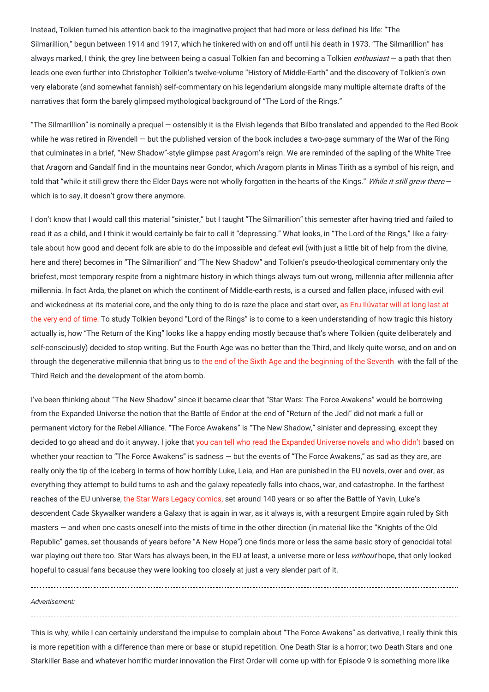Instead, Tolkien turned his attention back to the imaginative project that had more or less defined his life: "The Silmarillion," begun between 1914 and 1917, which he tinkered with on and off until his death in 1973. "The Silmarillion" has always marked, I think, the grey line between being a casual Tolkien fan and becoming a Tolkien *enthusiast* — a path that then leads one even further into Christopher Tolkien's twelve-volume "History of Middle-Earth" and the discovery of Tolkien's own very elaborate (and somewhat fannish) self-commentary on his legendarium alongside many multiple alternate drafts of the narratives that form the barely glimpsed mythological background of "The Lord of the Rings."

"The Silmarillion" is nominally a prequel — ostensibly it is the Elvish legends that Bilbo translated and appended to the Red Book while he was retired in Rivendell — but the published version of the book includes a two-page summary of the War of the Ring that culminates in a brief, "New Shadow"-style glimpse past Aragorn's reign. We are reminded of the sapling of the White Tree that Aragorn and Gandalf find in the mountains near Gondor, which Aragorn plants in Minas Tirith as a symbol of his reign, and told that "while it still grew there the Elder Days were not wholly forgotten in the hearts of the Kings." While it still grew there which is to say, it doesn't grow there anymore.

I don't know that I would call this material "sinister," but I taught "The Silmarillion" this semester after having tried and failed to read it as a child, and I think it would certainly be fair to call it "depressing." What looks, in "The Lord of the Rings," like a fairytale about how good and decent folk are able to do the impossible and defeat evil (with just a little bit of help from the divine, here and there) becomes in "The Silmarillion" and "The New Shadow" and Tolkien's pseudo-theological commentary only the briefest, most temporary respite from a nightmare history in which things always turn out wrong, millennia after millennia after millennia. In fact Arda, the planet on which the continent of Middle-earth rests, is a cursed and fallen place, infused with evil and wickedness at its material core, and the only thing to do is raze the place and start over, as Eru Ilúvatar will at long last at the very end of time. To study Tolkien beyond "Lord of the Rings" is to come to a keen [understanding](http://lotr.wikia.com/wiki/Dagor_Dagorath) of how tragic this history actually is, how "The Return of the King" looks like a happy ending mostly because that's where Tolkien (quite deliberately and self-consciously) decided to stop writing. But the Fourth Age was no better than the Third, and likely quite worse, and on and on through the degenerative millennia that bring us to the end of the Sixth Age and the [beginning](http://www.glyphweb.com/arda/f/fourthage.html) of the Seventh with the fall of the Third Reich and the development of the atom bomb.

I've been thinking about "The New Shadow" since it became clear that "Star Wars: The Force Awakens" would be borrowing from the Expanded Universe the notion that the Battle of Endor at the end of "Return of the Jedi" did not mark a full or permanent victory for the Rebel Alliance. "The Force Awakens" is "The New Shadow," sinister and depressing, except they decided to go ahead and do it anyway. I joke that you can tell who read the [Expanded](http://io9.gizmodo.com/theres-one-thing-i-totally-hate-about-the-force-awakens-1749285767?utm_campaign=socialflow_io9_twitter&utm_source=io9_twitter&utm_medium=socialflow) Universe novels and who didn't based on whether your reaction to "The Force Awakens" is sadness — but the events of "The Force Awakens," as sad as they are, are really only the tip of the iceberg in terms of how horribly Luke, Leia, and Han are punished in the EU novels, over and over, as everything they attempt to build turns to ash and the galaxy repeatedly falls into chaos, war, and catastrophe. In the farthest reaches of the EU universe, the Star Wars Legacy [comics,](http://starwars.wikia.com/wiki/Star_Wars:_Legacy) set around 140 years or so after the Battle of Yavin, Luke's descendent Cade Skywalker wanders a Galaxy that is again in war, as it always is, with a resurgent Empire again ruled by Sith masters — and when one casts oneself into the mists of time in the other direction (in material like the "Knights of the Old Republic" games, set thousands of years before "A New Hope") one finds more or less the same basic story of genocidal total war playing out there too. Star Wars has always been, in the EU at least, a universe more or less without hope, that only looked hopeful to casual fans because they were looking too closely at just a very slender part of it.

*Advertisement:*

This is why, while I can certainly understand the impulse to complain about "The Force Awakens" as derivative, I really think this is more repetition with a difference than mere or base or stupid repetition. One Death Star is a horror; two Death Stars and one Starkiller Base and whatever horrific murder innovation the First Order will come up with for Episode 9 is something more like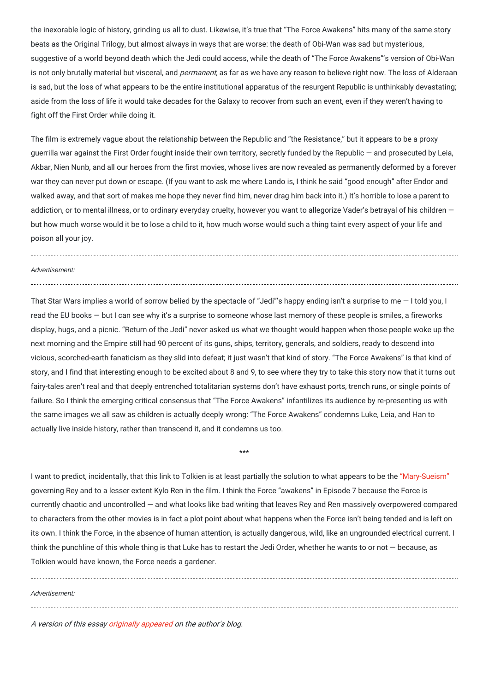the inexorable logic of history, grinding us all to dust. Likewise, it's true that "The Force Awakens" hits many of the same story beats as the Original Trilogy, but almost always in ways that are worse: the death of Obi-Wan was sad but mysterious, suggestive of a world beyond death which the Jedi could access, while the death of "The Force Awakens"'s version of Obi-Wan is not only brutally material but visceral, and *permanent*, as far as we have any reason to believe right now. The loss of Alderaan is sad, but the loss of what appears to be the entire institutional apparatus of the resurgent Republic is unthinkably devastating; aside from the loss of life it would take decades for the Galaxy to recover from such an event, even if they weren't having to fight off the First Order while doing it.

The film is extremely vague about the relationship between the Republic and "the Resistance," but it appears to be a proxy guerrilla war against the First Order fought inside their own territory, secretly funded by the Republic — and prosecuted by Leia, Akbar, Nien Nunb, and all our heroes from the first movies, whose lives are now revealed as permanently deformed by a forever war they can never put down or escape. (If you want to ask me where Lando is, I think he said "good enough" after Endor and walked away, and that sort of makes me hope they never find him, never drag him back into it.) It's horrible to lose a parent to addiction, or to mental illness, or to ordinary everyday cruelty, however you want to allegorize Vader's betrayal of his children but how much worse would it be to lose a child to it, how much worse would such a thing taint every aspect of your life and poison all your joy.

#### *Advertisement:*

That Star Wars implies a world of sorrow belied by the spectacle of "Jedi"'s happy ending isn't a surprise to me — I told you, I read the EU books — but I can see why it's a surprise to someone whose last memory of these people is smiles, a fireworks display, hugs, and a picnic. "Return of the Jedi" never asked us what we thought would happen when those people woke up the next morning and the Empire still had 90 percent of its guns, ships, territory, generals, and soldiers, ready to descend into vicious, scorched-earth fanaticism as they slid into defeat; it just wasn't that kind of story. "The Force Awakens" is that kind of story, and I find that interesting enough to be excited about 8 and 9, to see where they try to take this story now that it turns out fairy-tales aren't real and that deeply entrenched totalitarian systems don't have exhaust ports, trench runs, or single points of failure. So I think the emerging critical consensus that "The Force Awakens" infantilizes its audience by re-presenting us with the same images we all saw as children is actually deeply wrong: "The Force Awakens" condemns Luke, Leia, and Han to actually live inside history, rather than transcend it, and it condemns us too.

I want to predict, incidentally, that this link to Tolkien is at least partially the solution to what appears to be the ["Mary-Sueism"](http://io9.gizmodo.com/please-stop-spreading-this-nonsense-that-rey-from-star-1749134275) governing Rey and to a lesser extent Kylo Ren in the film. I think the Force "awakens" in Episode 7 because the Force is currently chaotic and uncontrolled — and what looks like bad writing that leaves Rey and Ren massively overpowered compared to characters from the other movies is in fact a plot point about what happens when the Force isn't being tended and is left on its own. I think the Force, in the absence of human attention, is actually dangerous, wild, like an ungrounded electrical current. I think the punchline of this whole thing is that Luke has to restart the Jedi Order, whether he wants to or not  $-$  because, as Tolkien would have known, the Force needs a gardener.

\*\*\*

*Advertisement:*

A version of this essay [originally](https://gerrycanavan.wordpress.com/2015/12/23/tolkien-the-force-awakens-and-the-expanded-universe/) appeared on the author's blog.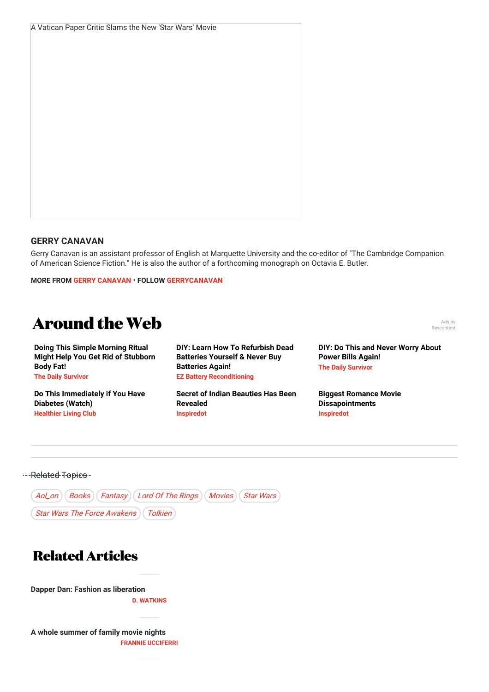#### **GERRY CANAVAN**

### Gerry Canavan is an assistant professor of English at Marquette University and the co-editor of "The Cambridge Companion of American Science Fiction." He is also the author of a forthcoming monograph on Octavia E. Butler.

#### **MORE FROM GERRY [CANAVAN](https://www.salon.com/writer/gerry_canavan)** • **FOLLOW [GERRYCANAVAN](https://www.twitter.com/gerrycanavan)**